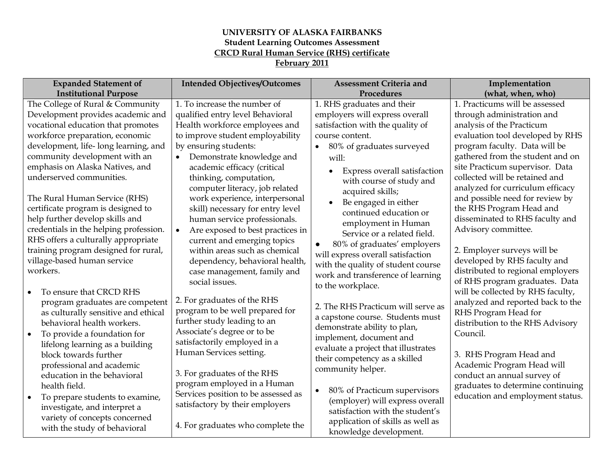## **UNIVERSITY OF ALASKA FAIRBANKS Student Learning Outcomes Assessment CRCD Rural Human Service (RHS) certificate February 2011**

| <b>Expanded Statement of</b>                                        | <b>Intended Objectives/Outcomes</b>           | <b>Assessment Criteria and</b>                                       | Implementation                                              |
|---------------------------------------------------------------------|-----------------------------------------------|----------------------------------------------------------------------|-------------------------------------------------------------|
| <b>Institutional Purpose</b>                                        |                                               | Procedures                                                           | (what, when, who)                                           |
| The College of Rural & Community                                    | 1. To increase the number of                  | 1. RHS graduates and their                                           | 1. Practicums will be assessed                              |
| Development provides academic and                                   | qualified entry level Behavioral              | employers will express overall                                       | through administration and                                  |
| vocational education that promotes                                  | Health workforce employees and                | satisfaction with the quality of                                     | analysis of the Practicum                                   |
| workforce preparation, economic                                     | to improve student employability              | course content.                                                      | evaluation tool developed by RHS                            |
| development, life-long learning, and                                | by ensuring students:                         | 80% of graduates surveyed<br>$\bullet$                               | program faculty. Data will be                               |
| community development with an                                       | Demonstrate knowledge and<br>$\bullet$        | will:                                                                | gathered from the student and on                            |
| emphasis on Alaska Natives, and                                     | academic efficacy (critical                   | Express overall satisfaction                                         | site Practicum supervisor. Data                             |
| underserved communities.                                            | thinking, computation,                        | with course of study and                                             | collected will be retained and                              |
|                                                                     | computer literacy, job related                | acquired skills;                                                     | analyzed for curriculum efficacy                            |
| The Rural Human Service (RHS)                                       | work experience, interpersonal                | Be engaged in either<br>$\bullet$                                    | and possible need for review by                             |
| certificate program is designed to                                  | skill) necessary for entry level              | continued education or                                               | the RHS Program Head and                                    |
| help further develop skills and                                     | human service professionals.                  | employment in Human                                                  | disseminated to RHS faculty and                             |
| credentials in the helping profession.                              | Are exposed to best practices in<br>$\bullet$ | Service or a related field.                                          | Advisory committee.                                         |
| RHS offers a culturally appropriate                                 | current and emerging topics                   | 80% of graduates' employers<br>$\bullet$                             |                                                             |
| training program designed for rural,<br>village-based human service | within areas such as chemical                 | will express overall satisfaction                                    | 2. Employer surveys will be<br>developed by RHS faculty and |
| workers.                                                            | dependency, behavioral health,                | with the quality of student course                                   | distributed to regional employers                           |
|                                                                     | case management, family and<br>social issues. | work and transference of learning                                    | of RHS program graduates. Data                              |
| To ensure that CRCD RHS                                             |                                               | to the workplace.                                                    | will be collected by RHS faculty,                           |
| program graduates are competent                                     | 2. For graduates of the RHS                   |                                                                      | analyzed and reported back to the                           |
| as culturally sensitive and ethical                                 | program to be well prepared for               | 2. The RHS Practicum will serve as                                   | RHS Program Head for                                        |
| behavioral health workers.                                          | further study leading to an                   | a capstone course. Students must                                     | distribution to the RHS Advisory                            |
| To provide a foundation for<br>$\bullet$                            | Associate's degree or to be                   | demonstrate ability to plan,                                         | Council.                                                    |
| lifelong learning as a building                                     | satisfactorily employed in a                  | implement, document and                                              |                                                             |
| block towards further                                               | Human Services setting.                       | evaluate a project that illustrates<br>their competency as a skilled | 3. RHS Program Head and                                     |
| professional and academic                                           |                                               | community helper.                                                    | Academic Program Head will                                  |
| education in the behavioral                                         | 3. For graduates of the RHS                   |                                                                      | conduct an annual survey of                                 |
| health field.                                                       | program employed in a Human                   | 80% of Practicum supervisors<br>$\bullet$                            | graduates to determine continuing                           |
| To prepare students to examine,<br>$\bullet$                        | Services position to be assessed as           | (employer) will express overall                                      | education and employment status.                            |
| investigate, and interpret a                                        | satisfactory by their employers               | satisfaction with the student's                                      |                                                             |
| variety of concepts concerned                                       |                                               | application of skills as well as                                     |                                                             |
| with the study of behavioral                                        | 4. For graduates who complete the             | knowledge development.                                               |                                                             |